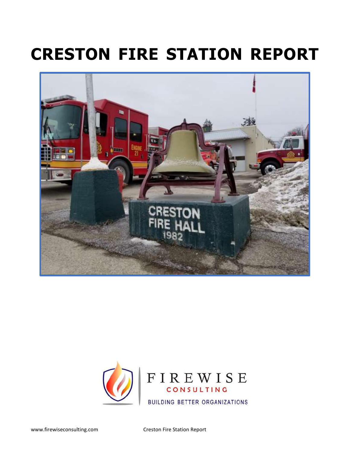# **CRESTON FIRE STATION REPORT**





www.firewiseconsulting.com Creston Fire Station Report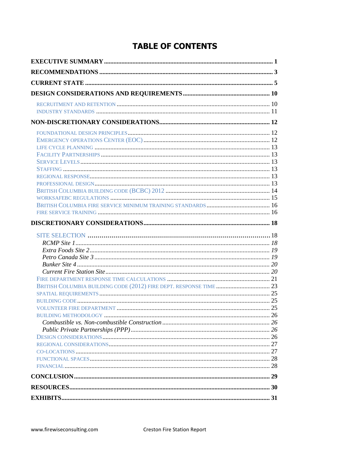# **TABLE OF CONTENTS**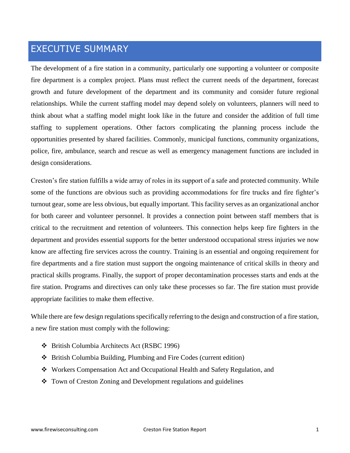## EXECUTIVE SUMMARY

The development of a fire station in a community, particularly one supporting a volunteer or composite fire department is a complex project. Plans must reflect the current needs of the department, forecast growth and future development of the department and its community and consider future regional relationships. While the current staffing model may depend solely on volunteers, planners will need to think about what a staffing model might look like in the future and consider the addition of full time staffing to supplement operations. Other factors complicating the planning process include the opportunities presented by shared facilities. Commonly, municipal functions, community organizations, police, fire, ambulance, search and rescue as well as emergency management functions are included in design considerations.

Creston's fire station fulfills a wide array of roles in its support of a safe and protected community. While some of the functions are obvious such as providing accommodations for fire trucks and fire fighter's turnout gear, some are less obvious, but equally important. This facility serves as an organizational anchor for both career and volunteer personnel. It provides a connection point between staff members that is critical to the recruitment and retention of volunteers. This connection helps keep fire fighters in the department and provides essential supports for the better understood occupational stress injuries we now know are affecting fire services across the country. Training is an essential and ongoing requirement for fire departments and a fire station must support the ongoing maintenance of critical skills in theory and practical skills programs. Finally, the support of proper decontamination processes starts and ends at the fire station. Programs and directives can only take these processes so far. The fire station must provide appropriate facilities to make them effective.

While there are few design regulations specifically referring to the design and construction of a fire station, a new fire station must comply with the following:

- ❖ British Columbia Architects Act (RSBC 1996)
- ❖ British Columbia Building, Plumbing and Fire Codes (current edition)
- ❖ Workers Compensation Act and Occupational Health and Safety Regulation, and
- ❖ Town of Creston Zoning and Development regulations and guidelines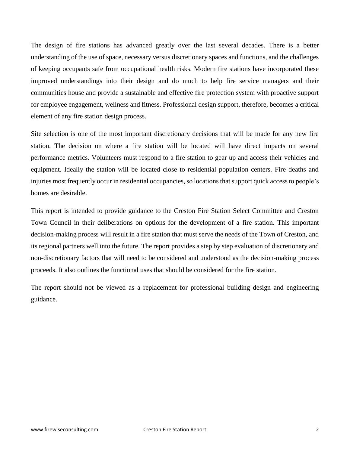The design of fire stations has advanced greatly over the last several decades. There is a better understanding of the use of space, necessary versus discretionary spaces and functions, and the challenges of keeping occupants safe from occupational health risks. Modern fire stations have incorporated these improved understandings into their design and do much to help fire service managers and their communities house and provide a sustainable and effective fire protection system with proactive support for employee engagement, wellness and fitness. Professional design support, therefore, becomes a critical element of any fire station design process.

Site selection is one of the most important discretionary decisions that will be made for any new fire station. The decision on where a fire station will be located will have direct impacts on several performance metrics. Volunteers must respond to a fire station to gear up and access their vehicles and equipment. Ideally the station will be located close to residential population centers. Fire deaths and injuries most frequently occur in residential occupancies, so locations that support quick access to people's homes are desirable.

This report is intended to provide guidance to the Creston Fire Station Select Committee and Creston Town Council in their deliberations on options for the development of a fire station. This important decision-making process will result in a fire station that must serve the needs of the Town of Creston, and its regional partners well into the future. The report provides a step by step evaluation of discretionary and non-discretionary factors that will need to be considered and understood as the decision-making process proceeds. It also outlines the functional uses that should be considered for the fire station.

The report should not be viewed as a replacement for professional building design and engineering guidance.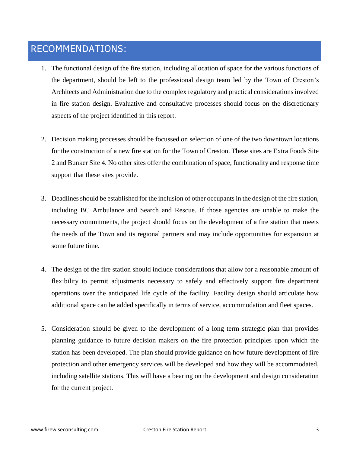# RECOMMENDATIONS:

- 1. The functional design of the fire station, including allocation of space for the various functions of the department, should be left to the professional design team led by the Town of Creston's Architects and Administration due to the complex regulatory and practical considerations involved in fire station design. Evaluative and consultative processes should focus on the discretionary aspects of the project identified in this report.
- 2. Decision making processes should be focussed on selection of one of the two downtown locations for the construction of a new fire station for the Town of Creston. These sites are Extra Foods Site 2 and Bunker Site 4. No other sites offer the combination of space, functionality and response time support that these sites provide.
- 3. Deadlines should be established for the inclusion of other occupants in the design of the fire station, including BC Ambulance and Search and Rescue. If those agencies are unable to make the necessary commitments, the project should focus on the development of a fire station that meets the needs of the Town and its regional partners and may include opportunities for expansion at some future time.
- 4. The design of the fire station should include considerations that allow for a reasonable amount of flexibility to permit adjustments necessary to safely and effectively support fire department operations over the anticipated life cycle of the facility. Facility design should articulate how additional space can be added specifically in terms of service, accommodation and fleet spaces.
- 5. Consideration should be given to the development of a long term strategic plan that provides planning guidance to future decision makers on the fire protection principles upon which the station has been developed. The plan should provide guidance on how future development of fire protection and other emergency services will be developed and how they will be accommodated, including satellite stations. This will have a bearing on the development and design consideration for the current project.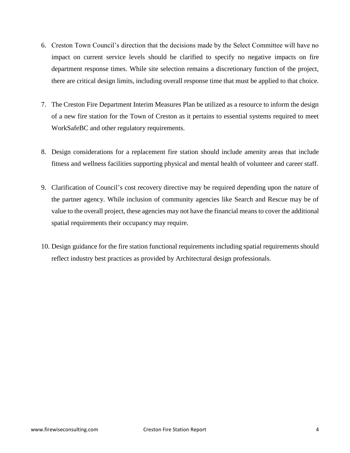- 6. Creston Town Council's direction that the decisions made by the Select Committee will have no impact on current service levels should be clarified to specify no negative impacts on fire department response times. While site selection remains a discretionary function of the project, there are critical design limits, including overall response time that must be applied to that choice.
- 7. The Creston Fire Department Interim Measures Plan be utilized as a resource to inform the design of a new fire station for the Town of Creston as it pertains to essential systems required to meet WorkSafeBC and other regulatory requirements.
- 8. Design considerations for a replacement fire station should include amenity areas that include fitness and wellness facilities supporting physical and mental health of volunteer and career staff.
- 9. Clarification of Council's cost recovery directive may be required depending upon the nature of the partner agency. While inclusion of community agencies like Search and Rescue may be of value to the overall project, these agencies may not have the financial means to cover the additional spatial requirements their occupancy may require.
- 10. Design guidance for the fire station functional requirements including spatial requirements should reflect industry best practices as provided by Architectural design professionals.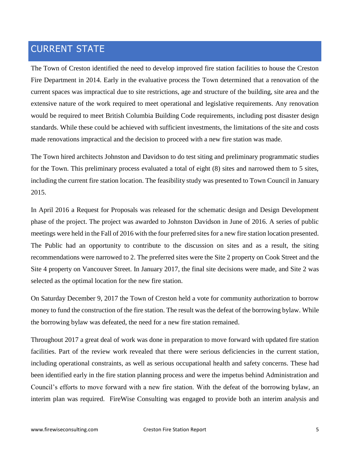# CURRENT STATE

The Town of Creston identified the need to develop improved fire station facilities to house the Creston Fire Department in 2014. Early in the evaluative process the Town determined that a renovation of the current spaces was impractical due to site restrictions, age and structure of the building, site area and the extensive nature of the work required to meet operational and legislative requirements. Any renovation would be required to meet British Columbia Building Code requirements, including post disaster design standards. While these could be achieved with sufficient investments, the limitations of the site and costs made renovations impractical and the decision to proceed with a new fire station was made.

The Town hired architects Johnston and Davidson to do test siting and preliminary programmatic studies for the Town. This preliminary process evaluated a total of eight (8) sites and narrowed them to 5 sites, including the current fire station location. The feasibility study was presented to Town Council in January 2015.

In April 2016 a Request for Proposals was released for the schematic design and Design Development phase of the project. The project was awarded to Johnston Davidson in June of 2016. A series of public meetings were held in the Fall of 2016 with the four preferred sites for a new fire station location presented. The Public had an opportunity to contribute to the discussion on sites and as a result, the siting recommendations were narrowed to 2. The preferred sites were the Site 2 property on Cook Street and the Site 4 property on Vancouver Street. In January 2017, the final site decisions were made, and Site 2 was selected as the optimal location for the new fire station.

On Saturday December 9, 2017 the Town of Creston held a vote for community authorization to borrow money to fund the construction of the fire station. The result was the defeat of the borrowing bylaw. While the borrowing bylaw was defeated, the need for a new fire station remained.

Throughout 2017 a great deal of work was done in preparation to move forward with updated fire station facilities. Part of the review work revealed that there were serious deficiencies in the current station, including operational constraints, as well as serious occupational health and safety concerns. These had been identified early in the fire station planning process and were the impetus behind Administration and Council's efforts to move forward with a new fire station. With the defeat of the borrowing bylaw, an interim plan was required. FireWise Consulting was engaged to provide both an interim analysis and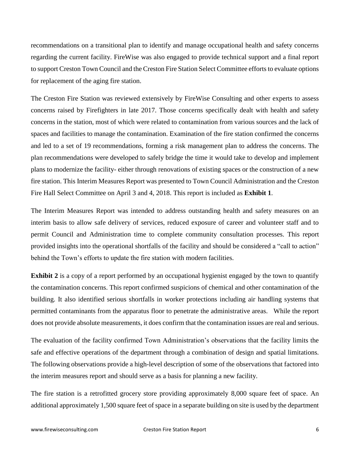recommendations on a transitional plan to identify and manage occupational health and safety concerns regarding the current facility. FireWise was also engaged to provide technical support and a final report to support Creston Town Council and the Creston Fire Station Select Committee efforts to evaluate options for replacement of the aging fire station.

The Creston Fire Station was reviewed extensively by FireWise Consulting and other experts to assess concerns raised by Firefighters in late 2017. Those concerns specifically dealt with health and safety concerns in the station, most of which were related to contamination from various sources and the lack of spaces and facilities to manage the contamination. Examination of the fire station confirmed the concerns and led to a set of 19 recommendations, forming a risk management plan to address the concerns. The plan recommendations were developed to safely bridge the time it would take to develop and implement plans to modernize the facility- either through renovations of existing spaces or the construction of a new fire station. This Interim Measures Report was presented to Town Council Administration and the Creston Fire Hall Select Committee on April 3 and 4, 2018. This report is included as **Exhibit 1**.

The Interim Measures Report was intended to address outstanding health and safety measures on an interim basis to allow safe delivery of services, reduced exposure of career and volunteer staff and to permit Council and Administration time to complete community consultation processes. This report provided insights into the operational shortfalls of the facility and should be considered a "call to action" behind the Town's efforts to update the fire station with modern facilities.

**Exhibit 2** is a copy of a report performed by an occupational hygienist engaged by the town to quantify the contamination concerns. This report confirmed suspicions of chemical and other contamination of the building. It also identified serious shortfalls in worker protections including air handling systems that permitted contaminants from the apparatus floor to penetrate the administrative areas. While the report does not provide absolute measurements, it does confirm that the contamination issues are real and serious.

The evaluation of the facility confirmed Town Administration's observations that the facility limits the safe and effective operations of the department through a combination of design and spatial limitations. The following observations provide a high-level description of some of the observations that factored into the interim measures report and should serve as a basis for planning a new facility.

The fire station is a retrofitted grocery store providing approximately 8,000 square feet of space. An additional approximately 1,500 square feet of space in a separate building on site is used by the department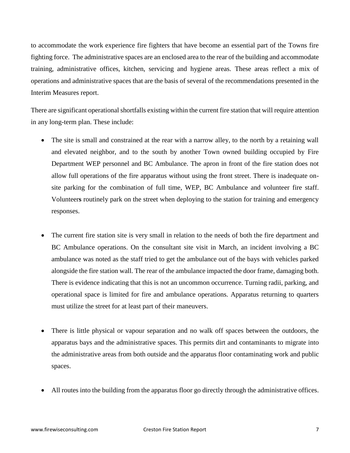to accommodate the work experience fire fighters that have become an essential part of the Towns fire fighting force. The administrative spaces are an enclosed area to the rear of the building and accommodate training, administrative offices, kitchen, servicing and hygiene areas. These areas reflect a mix of operations and administrative spaces that are the basis of several of the recommendations presented in the Interim Measures report.

There are significant operational shortfalls existing within the current fire station that will require attention in any long-term plan. These include:

- The site is small and constrained at the rear with a narrow alley, to the north by a retaining wall and elevated neighbor, and to the south by another Town owned building occupied by Fire Department WEP personnel and BC Ambulance. The apron in front of the fire station does not allow full operations of the fire apparatus without using the front street. There is inadequate onsite parking for the combination of full time, WEP, BC Ambulance and volunteer fire staff. Volunteer**s** routinely park on the street when deploying to the station for training and emergency responses.
- The current fire station site is very small in relation to the needs of both the fire department and BC Ambulance operations. On the consultant site visit in March, an incident involving a BC ambulance was noted as the staff tried to get the ambulance out of the bays with vehicles parked alongside the fire station wall. The rear of the ambulance impacted the door frame, damaging both. There is evidence indicating that this is not an uncommon occurrence. Turning radii, parking, and operational space is limited for fire and ambulance operations. Apparatus returning to quarters must utilize the street for at least part of their maneuvers.
- There is little physical or vapour separation and no walk off spaces between the outdoors, the apparatus bays and the administrative spaces. This permits dirt and contaminants to migrate into the administrative areas from both outside and the apparatus floor contaminating work and public spaces.
- All routes into the building from the apparatus floor go directly through the administrative offices.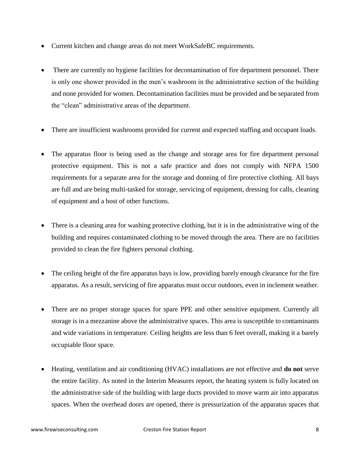- Current kitchen and change areas do not meet WorkSafeBC requirements.
- There are currently no hygiene facilities for decontamination of fire department personnel. There is only one shower provided in the men's washroom in the administrative section of the building and none provided for women. Decontamination facilities must be provided and be separated from the "clean" administrative areas of the department.
- There are insufficient washrooms provided for current and expected staffing and occupant loads.
- The apparatus floor is being used as the change and storage area for fire department personal protective equipment. This is not a safe practice and does not comply with NFPA 1500 requirements for a separate area for the storage and donning of fire protective clothing. All bays are full and are being multi-tasked for storage, servicing of equipment, dressing for calls, cleaning of equipment and a host of other functions.
- There is a cleaning area for washing protective clothing, but it is in the administrative wing of the building and requires contaminated clothing to be moved through the area. There are no facilities provided to clean the fire fighters personal clothing.
- The ceiling height of the fire apparatus bays is low, providing barely enough clearance for the fire apparatus. As a result, servicing of fire apparatus must occur outdoors, even in inclement weather.
- There are no proper storage spaces for spare PPE and other sensitive equipment. Currently all storage is in a mezzanine above the administrative spaces. This area is susceptible to contaminants and wide variations in temperature. Ceiling heights are less than 6 feet overall, making it a barely occupiable floor space.
- Heating, ventilation and air conditioning (HVAC) installations are not effective and **do not** serve the entire facility. As noted in the Interim Measures report, the heating system is fully located on the administrative side of the building with large ducts provided to move warm air into apparatus spaces. When the overhead doors are opened, there is pressurization of the apparatus spaces that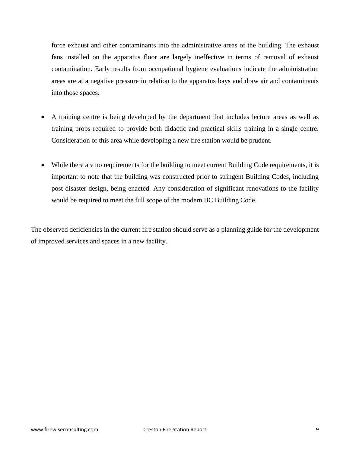force exhaust and other contaminants into the administrative areas of the building. The exhaust fans installed on the apparatus floor a**r**e largely ineffective in terms of removal of exhaust contamination. Early results from occupational hygiene evaluations indicate the administration areas are at a negative pressure in relation to the apparatus bays and draw air and contaminants into those spaces.

- A training centre is being developed by the department that includes lecture areas as well as training props required to provide both didactic and practical skills training in a single centre. Consideration of this area while developing a new fire station would be prudent.
- While there are no requirements for the building to meet current Building Code requirements, it is important to note that the building was constructed prior to stringent Building Codes, including post disaster design, being enacted. Any consideration of significant renovations to the facility would be required to meet the full scope of the modern BC Building Code.

The observed deficiencies in the current fire station should serve as a planning guide for the development of improved services and spaces in a new facility.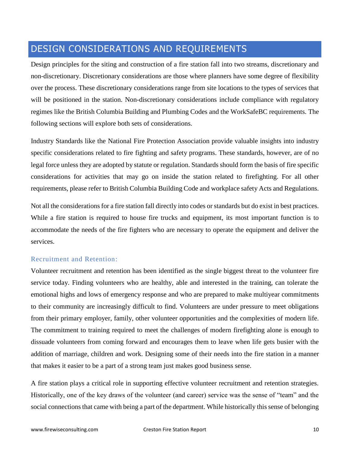# DESIGN CONSIDERATIONS AND REQUIREMENTS

Design principles for the siting and construction of a fire station fall into two streams, discretionary and non-discretionary. Discretionary considerations are those where planners have some degree of flexibility over the process. These discretionary considerations range from site locations to the types of services that will be positioned in the station. Non-discretionary considerations include compliance with regulatory regimes like the British Columbia Building and Plumbing Codes and the WorkSafeBC requirements. The following sections will explore both sets of considerations.

Industry Standards like the National Fire Protection Association provide valuable insights into industry specific considerations related to fire fighting and safety programs. These standards, however, are of no legal force unless they are adopted by statute or regulation. Standards should form the basis of fire specific considerations for activities that may go on inside the station related to firefighting. For all other requirements, please refer to British Columbia Building Code and workplace safety Acts and Regulations.

Not all the considerations for a fire station fall directly into codes or standards but do exist in best practices. While a fire station is required to house fire trucks and equipment, its most important function is to accommodate the needs of the fire fighters who are necessary to operate the equipment and deliver the services.

## Recruitment and Retention:

Volunteer recruitment and retention has been identified as the single biggest threat to the volunteer fire service today. Finding volunteers who are healthy, able and interested in the training, can tolerate the emotional highs and lows of emergency response and who are prepared to make multiyear commitments to their community are increasingly difficult to find. Volunteers are under pressure to meet obligations from their primary employer, family, other volunteer opportunities and the complexities of modern life. The commitment to training required to meet the challenges of modern firefighting alone is enough to dissuade volunteers from coming forward and encourages them to leave when life gets busier with the addition of marriage, children and work. Designing some of their needs into the fire station in a manner that makes it easier to be a part of a strong team just makes good business sense.

A fire station plays a critical role in supporting effective volunteer recruitment and retention strategies. Historically, one of the key draws of the volunteer (and career) service was the sense of "team" and the social connections that came with being a part of the department. While historically this sense of belonging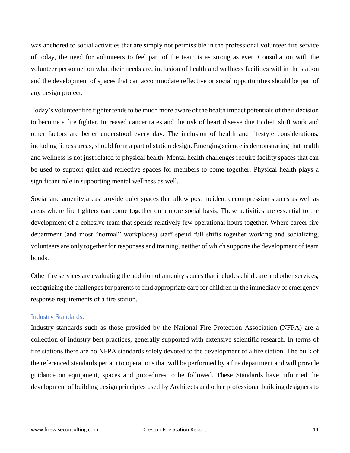was anchored to social activities that are simply not permissible in the professional volunteer fire service of today, the need for volunteers to feel part of the team is as strong as ever. Consultation with the volunteer personnel on what their needs are, inclusion of health and wellness facilities within the station and the development of spaces that can accommodate reflective or social opportunities should be part of any design project.

Today's volunteer fire fighter tends to be much more aware of the health impact potentials of their decision to become a fire fighter. Increased cancer rates and the risk of heart disease due to diet, shift work and other factors are better understood every day. The inclusion of health and lifestyle considerations, including fitness areas, should form a part of station design. Emerging science is demonstrating that health and wellness is not just related to physical health. Mental health challenges require facility spaces that can be used to support quiet and reflective spaces for members to come together. Physical health plays a significant role in supporting mental wellness as well.

Social and amenity areas provide quiet spaces that allow post incident decompression spaces as well as areas where fire fighters can come together on a more social basis. These activities are essential to the development of a cohesive team that spends relatively few operational hours together. Where career fire department (and most "normal" workplaces) staff spend full shifts together working and socializing, volunteers are only together for responses and training, neither of which supports the development of team bonds.

Other fire services are evaluating the addition of amenity spaces that includes child care and other services, recognizing the challenges for parents to find appropriate care for children in the immediacy of emergency response requirements of a fire station.

#### Industry Standards:

Industry standards such as those provided by the National Fire Protection Association (NFPA) are a collection of industry best practices, generally supported with extensive scientific research. In terms of fire stations there are no NFPA standards solely devoted to the development of a fire station. The bulk of the referenced standards pertain to operations that will be performed by a fire department and will provide guidance on equipment, spaces and procedures to be followed. These Standards have informed the development of building design principles used by Architects and other professional building designers to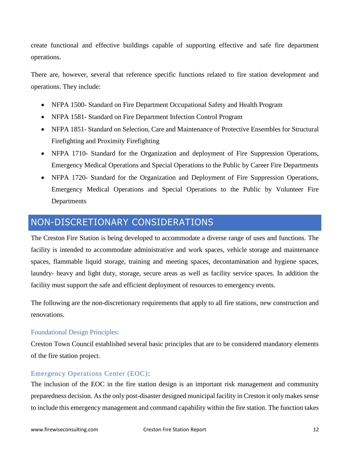create functional and effective buildings capable of supporting effective and safe fire department operations.

There are, however, several that reference specific functions related to fire station development and operations. They include:

- NFPA 1500- Standard on Fire Department Occupational Safety and Health Program
- NFPA 1581- Standard on Fire Department Infection Control Program
- NFPA 1851- Standard on Selection, Care and Maintenance of Protective Ensembles for Structural Firefighting and Proximity Firefighting
- NFPA 1710- Standard for the Organization and deployment of Fire Suppression Operations, Emergency Medical Operations and Special Operations to the Public by Career Fire Departments
- NFPA 1720- Standard for the Organization and Deployment of Fire Suppression Operations, Emergency Medical Operations and Special Operations to the Public by Volunteer Fire **Departments**

# NON-DISCRETIONARY CONSIDERATIONS

The Creston Fire Station is being developed to accommodate a diverse range of uses and functions. The facility is intended to accommodate administrative and work spaces, vehicle storage and maintenance spaces, flammable liquid storage, training and meeting spaces, decontamination and hygiene spaces, laundry- heavy and light duty, storage, secure areas as well as facility service spaces. In addition the facility must support the safe and efficient deployment of resources to emergency events.

The following are the non-discretionary requirements that apply to all fire stations, new construction and renovations.

## Foundational Design Principles:

Creston Town Council established several basic principles that are to be considered mandatory elements of the fire station project.

## Emergency Operations Center (EOC):

The inclusion of the EOC in the fire station design is an important risk management and community preparedness decision. As the only post-disaster designed municipal facility in Creston it only makes sense to include this emergency management and command capability within the fire station. The function takes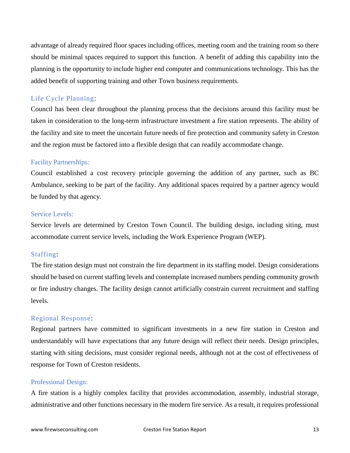advantage of already required floor spaces including offices, meeting room and the training room so there should be minimal spaces required to support this function. A benefit of adding this capability into the planning is the opportunity to include higher end computer and communications technology. This has the added benefit of supporting training and other Town business requirements.

## Life Cycle Planning:

Council has been clear throughout the planning process that the decisions around this facility must be taken in consideration to the long-term infrastructure investment a fire station represents. The ability of the facility and site to meet the uncertain future needs of fire protection and community safety in Creston and the region must be factored into a flexible design that can readily accommodate change.

### Facility Partnerships:

Council established a cost recovery principle governing the addition of any partner, such as BC Ambulance, seeking to be part of the facility. Any additional spaces required by a partner agency would be funded by that agency.

## Service Levels:

Service levels are determined by Creston Town Council. The building design, including siting, must accommodate current service levels, including the Work Experience Program (WEP).

## Staffing:

The fire station design must not constrain the fire department in its staffing model. Design considerations should be based on current staffing levels and contemplate increased numbers pending community growth or fire industry changes. The facility design cannot artificially constrain current recruitment and staffing levels.

### Regional Response:

Regional partners have committed to significant investments in a new fire station in Creston and understandably will have expectations that any future design will reflect their needs. Design principles, starting with siting decisions, must consider regional needs, although not at the cost of effectiveness of response for Town of Creston residents.

#### Professional Design:

A fire station is a highly complex facility that provides accommodation, assembly, industrial storage, administrative and other functions necessary in the modern fire service. As a result, it requires professional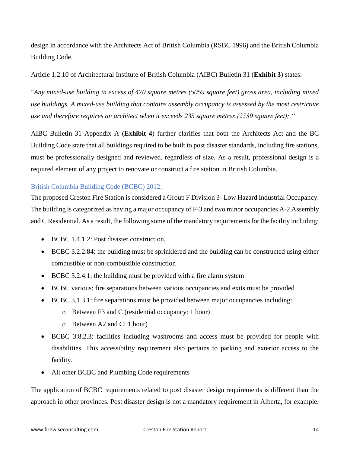design in accordance with the Architects Act of British Columbia (RSBC 1996) and the British Columbia Building Code.

Article 1.2.10 of Architectural Institute of British Columbia (AIBC) Bulletin 31 (**Exhibit 3**) states:

"*Any mixed-use building in excess of 470 square metres (5059 square feet) gross area, including mixed use buildings. A mixed-use building that contains assembly occupancy is assessed by the most restrictive use and therefore requires an architect when it exceeds 235 square metres (2530 square feet); "*

AIBC Bulletin 31 Appendix A (**Exhibit 4**) further clarifies that both the Architects Act and the BC Building Code state that all buildings required to be built to post disaster standards, including fire stations, must be professionally designed and reviewed, regardless of size. As a result, professional design is a required element of any project to renovate or construct a fire station in British Columbia.

## British Columbia Building Code (BCBC) 2012:

The proposed Creston Fire Station is considered a Group F Division 3- Low Hazard Industrial Occupancy. The building is categorized as having a major occupancy of F-3 and two minor occupancies A-2 Assembly and C Residential. As a result, the following some of the mandatory requirements for the facility including:

- BCBC 1.4.1.2: Post disaster construction,
- BCBC 3.2.2.84: the building must be sprinklered and the building can be constructed using either combustible or non-combustible construction
- BCBC 3.2.4.1: the building must be provided with a fire alarm system
- BCBC various: fire separations between various occupancies and exits must be provided
- BCBC 3.1.3.1: fire separations must be provided between major occupancies including:
	- o Between F3 and C (residential occupancy: 1 hour)
	- o Between A2 and C: 1 hour)
- BCBC 3.8.2.3: facilities including washrooms and access must be provided for people with disabilities. This accessibility requirement also pertains to parking and exterior access to the facility.
- All other BCBC and Plumbing Code requirements

The application of BCBC requirements related to post disaster design requirements is different than the approach in other provinces. Post disaster design is not a mandatory requirement in Alberta, for example.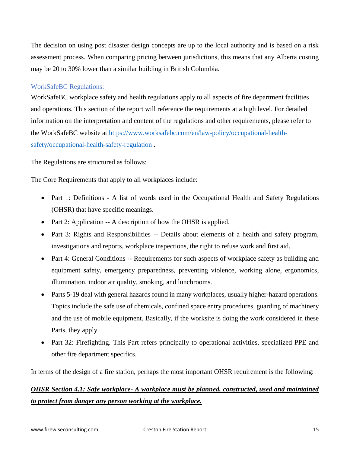The decision on using post disaster design concepts are up to the local authority and is based on a risk assessment process. When comparing pricing between jurisdictions, this means that any Alberta costing may be 20 to 30% lower than a similar building in British Columbia.

## WorkSafeBC Regulations:

WorkSafeBC workplace safety and health regulations apply to all aspects of fire department facilities and operations. This section of the report will reference the requirements at a high level. For detailed information on the interpretation and content of the regulations and other requirements, please refer to the WorkSafeBC website at [https://www.worksafebc.com/en/law-policy/occupational-health](https://www.worksafebc.com/en/law-policy/occupational-health-safety/occupational-health-safety-regulation)[safety/occupational-health-safety-regulation](https://www.worksafebc.com/en/law-policy/occupational-health-safety/occupational-health-safety-regulation) .

The Regulations are structured as follows:

The Core Requirements that apply to all workplaces include:

- Part 1: Definitions A list of words used in the Occupational Health and Safety Regulations (OHSR) that have specific meanings.
- Part 2: Application -- A description of how the OHSR is applied.
- Part 3: Rights and Responsibilities -- Details about elements of a health and safety program, investigations and reports, workplace inspections, the right to refuse work and first aid.
- Part 4: General Conditions -- Requirements for such aspects of workplace safety as building and equipment safety, emergency preparedness, preventing violence, working alone, ergonomics, illumination, indoor air quality, smoking, and lunchrooms.
- Parts 5-19 deal with general hazards found in many workplaces, usually higher-hazard operations. Topics include the safe use of chemicals, confined space entry procedures, guarding of machinery and the use of mobile equipment. Basically, if the worksite is doing the work considered in these Parts, they apply.
- Part 32: Firefighting. This Part refers principally to operational activities, specialized PPE and other fire department specifics.

In terms of the design of a fire station, perhaps the most important OHSR requirement is the following:

## *OHSR Section 4.1: Safe workplace- A workplace must be planned, constructed, used and maintained to protect from danger any person working at the workplace.*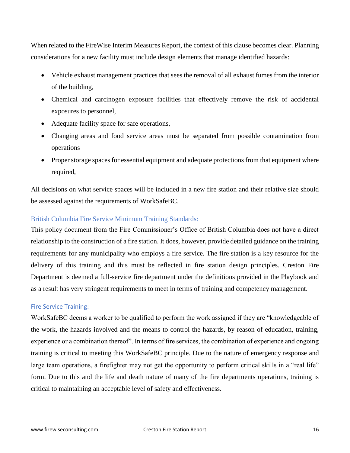When related to the FireWise Interim Measures Report, the context of this clause becomes clear. Planning considerations for a new facility must include design elements that manage identified hazards:

- Vehicle exhaust management practices that sees the removal of all exhaust fumes from the interior of the building,
- Chemical and carcinogen exposure facilities that effectively remove the risk of accidental exposures to personnel,
- Adequate facility space for safe operations,
- Changing areas and food service areas must be separated from possible contamination from operations
- Proper storage spaces for essential equipment and adequate protections from that equipment where required,

All decisions on what service spaces will be included in a new fire station and their relative size should be assessed against the requirements of WorkSafeBC.

## British Columbia Fire Service Minimum Training Standards:

This policy document from the Fire Commissioner's Office of British Columbia does not have a direct relationship to the construction of a fire station. It does, however, provide detailed guidance on the training requirements for any municipality who employs a fire service. The fire station is a key resource for the delivery of this training and this must be reflected in fire station design principles. Creston Fire Department is deemed a full-service fire department under the definitions provided in the Playbook and as a result has very stringent requirements to meet in terms of training and competency management.

## Fire Service Training:

WorkSafeBC deems a worker to be qualified to perform the work assigned if they are "knowledgeable of the work, the hazards involved and the means to control the hazards, by reason of education, training, experience or a combination thereof". In terms of fire services, the combination of experience and ongoing training is critical to meeting this WorkSafeBC principle. Due to the nature of emergency response and large team operations, a firefighter may not get the opportunity to perform critical skills in a "real life" form. Due to this and the life and death nature of many of the fire departments operations, training is critical to maintaining an acceptable level of safety and effectiveness.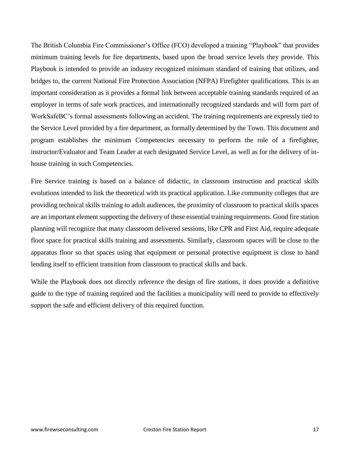The British Columbia Fire Commissioner's Office (FCO) developed a training "Playbook" that provides minimum training levels for fire departments, based upon the broad service levels they provide. This Playbook is intended to provide an industry recognized minimum standard of training that utilizes, and bridges to, the current National Fire Protection Association (NFPA) Firefighter qualifications. This is an important consideration as it provides a formal link between acceptable training standards required of an employer in terms of safe work practices, and internationally recognized standards and will form part of WorkSafeBC's formal assessments following an accident. The training requirements are expressly tied to the Service Level provided by a fire department, as formally determined by the Town. This document and program establishes the minimum Competencies necessary to perform the role of a firefighter, instructor/Evaluator and Team Leader at each designated Service Level, as well as for the delivery of inhouse training in such Competencies.

Fire Service training is based on a balance of didactic, in classroom instruction and practical skills evolutions intended to link the theoretical with its practical application. Like community colleges that are providing technical skills training to adult audiences, the proximity of classroom to practical skills spaces are an important element supporting the delivery of these essential training requirements. Good fire station planning will recognize that many classroom delivered sessions, like CPR and First Aid, require adequate floor space for practical skills training and assessments. Similarly, classroom spaces will be close to the apparatus floor so that spaces using that equipment or personal protective equipment is close to hand lending itself to efficient transition from classroom to practical skills and back.

While the Playbook does not directly reference the design of fire stations, it does provide a definitive guide to the type of training required and the facilities a municipality will need to provide to effectively support the safe and efficient delivery of this required function.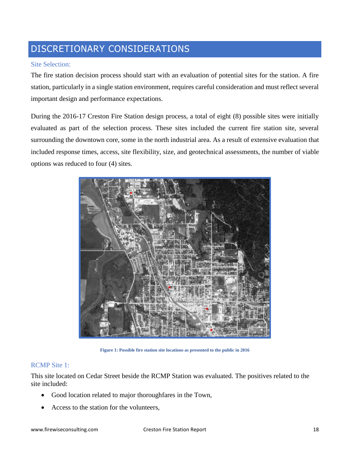# DISCRETIONARY CONSIDERATIONS

## Site Selection:

The fire station decision process should start with an evaluation of potential sites for the station. A fire station, particularly in a single station environment, requires careful consideration and must reflect several important design and performance expectations.

During the 2016-17 Creston Fire Station design process, a total of eight (8) possible sites were initially evaluated as part of the selection process. These sites included the current fire station site, several surrounding the downtown core, some in the north industrial area. As a result of extensive evaluation that included response times, access, site flexibility, size, and geotechnical assessments, the number of viable options was reduced to four (4) sites.



**Figure 1: Possible fire station site locations as presented to the public in 2016**

## RCMP Site 1:

This site located on Cedar Street beside the RCMP Station was evaluated. The positives related to the site included:

- Good location related to major thoroughfares in the Town,
- Access to the station for the volunteers,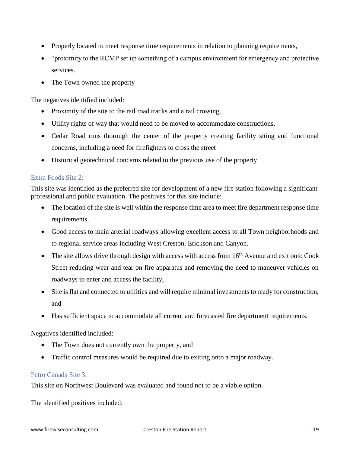- Properly located to meet response time requirements in relation to planning requirements,
- "proximity to the RCMP set up something of a campus environment for emergency and protective services.
- The Town owned the property

The negatives identified included:

- Proximity of the site to the rail road tracks and a rail crossing,
- Utility rights of way that would need to be moved to accommodate constructions,
- Cedar Road runs thorough the center of the property creating facility siting and functional concerns, including a need for firefighters to cross the street
- Historical geotechnical concerns related to the previous use of the property

## Extra Foods Site 2:

This site was identified as the preferred site for development of a new fire station following a significant professional and public evaluation. The positives for this site include:

- The location of the site is well within the response time area to meet fire department response time requirements,
- Good access to main arterial roadways allowing excellent access to all Town neighborhoods and to regional service areas including West Creston, Erickson and Canyon.
- The site allows drive through design with access with access from  $16<sup>th</sup>$  Avenue and exit onto Cook Street reducing wear and tear on fire apparatus and removing the need to maneuver vehicles on roadways to enter and access the facility,
- Site is flat and connected to utilities and will require minimal investments to ready for construction, and
- Has sufficient space to accommodate all current and forecasted fire department requirements.

Negatives identified included:

- The Town does not currently own the property, and
- Traffic control measures would be required due to exiting onto a major roadway.

## Petro Canada Site 3:

This site on Northwest Boulevard was evaluated and found not to be a viable option.

The identified positives included: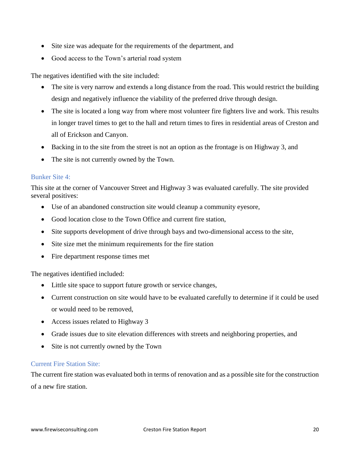- Site size was adequate for the requirements of the department, and
- Good access to the Town's arterial road system

The negatives identified with the site included:

- The site is very narrow and extends a long distance from the road. This would restrict the building design and negatively influence the viability of the preferred drive through design.
- The site is located a long way from where most volunteer fire fighters live and work. This results in longer travel times to get to the hall and return times to fires in residential areas of Creston and all of Erickson and Canyon.
- Backing in to the site from the street is not an option as the frontage is on Highway 3, and
- The site is not currently owned by the Town.

## Bunker Site 4:

This site at the corner of Vancouver Street and Highway 3 was evaluated carefully. The site provided several positives:

- Use of an abandoned construction site would cleanup a community eyesore,
- Good location close to the Town Office and current fire station,
- Site supports development of drive through bays and two-dimensional access to the site,
- Site size met the minimum requirements for the fire station
- Fire department response times met

The negatives identified included:

- Little site space to support future growth or service changes,
- Current construction on site would have to be evaluated carefully to determine if it could be used or would need to be removed,
- Access issues related to Highway 3
- Grade issues due to site elevation differences with streets and neighboring properties, and
- Site is not currently owned by the Town

## Current Fire Station Site:

The current fire station was evaluated both in terms of renovation and as a possible site for the construction of a new fire station.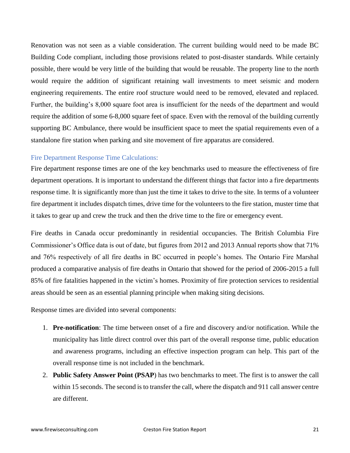Renovation was not seen as a viable consideration. The current building would need to be made BC Building Code compliant, including those provisions related to post-disaster standards. While certainly possible, there would be very little of the building that would be reusable. The property line to the north would require the addition of significant retaining wall investments to meet seismic and modern engineering requirements. The entire roof structure would need to be removed, elevated and replaced. Further, the building's 8,000 square foot area is insufficient for the needs of the department and would require the addition of some 6-8,000 square feet of space. Even with the removal of the building currently supporting BC Ambulance, there would be insufficient space to meet the spatial requirements even of a standalone fire station when parking and site movement of fire apparatus are considered.

## Fire Department Response Time Calculations:

Fire department response times are one of the key benchmarks used to measure the effectiveness of fire department operations. It is important to understand the different things that factor into a fire departments response time. It is significantly more than just the time it takes to drive to the site. In terms of a volunteer fire department it includes dispatch times, drive time for the volunteers to the fire station, muster time that it takes to gear up and crew the truck and then the drive time to the fire or emergency event.

Fire deaths in Canada occur predominantly in residential occupancies. The British Columbia Fire Commissioner's Office data is out of date, but figures from 2012 and 2013 Annual reports show that 71% and 76% respectively of all fire deaths in BC occurred in people's homes. The Ontario Fire Marshal produced a comparative analysis of fire deaths in Ontario that showed for the period of 2006-2015 a full 85% of fire fatalities happened in the victim's homes. Proximity of fire protection services to residential areas should be seen as an essential planning principle when making siting decisions.

Response times are divided into several components:

- 1. **Pre-notification**: The time between onset of a fire and discovery and/or notification. While the municipality has little direct control over this part of the overall response time, public education and awareness programs, including an effective inspection program can help. This part of the overall response time is not included in the benchmark.
- 2. **Public Safety Answer Point (PSAP**) has two benchmarks to meet. The first is to answer the call within 15 seconds. The second is to transfer the call, where the dispatch and 911 call answer centre are different.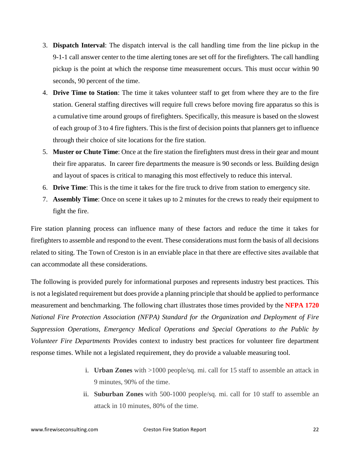- 3. **Dispatch Interval**: The dispatch interval is the call handling time from the line pickup in the 9-1-1 call answer center to the time alerting tones are set off for the firefighters. The call handling pickup is the point at which the response time measurement occurs. This must occur within 90 seconds, 90 percent of the time.
- 4. **Drive Time to Station**: The time it takes volunteer staff to get from where they are to the fire station. General staffing directives will require full crews before moving fire apparatus so this is a cumulative time around groups of firefighters. Specifically, this measure is based on the slowest of each group of 3 to 4 fire fighters. This is the first of decision points that planners get to influence through their choice of site locations for the fire station.
- 5. **Muster or Chute Time**: Once at the fire station the firefighters must dress in their gear and mount their fire apparatus. In career fire departments the measure is 90 seconds or less. Building design and layout of spaces is critical to managing this most effectively to reduce this interval.
- 6. **Drive Time**: This is the time it takes for the fire truck to drive from station to emergency site.
- 7. **Assembly Time**: Once on scene it takes up to 2 minutes for the crews to ready their equipment to fight the fire.

Fire station planning process can influence many of these factors and reduce the time it takes for firefighters to assemble and respond to the event. These considerations must form the basis of all decisions related to siting. The Town of Creston is in an enviable place in that there are effective sites available that can accommodate all these considerations.

The following is provided purely for informational purposes and represents industry best practices. This is not a legislated requirement but does provide a planning principle that should be applied to performance measurement and benchmarking. The following chart illustrates those times provided by the **NFPA 1720** *National Fire Protection Association (NFPA) Standard for the Organization and Deployment of Fire Suppression Operations, Emergency Medical Operations and Special Operations to the Public by Volunteer Fire Departments* Provides context to industry best practices for volunteer fire department response times. While not a legislated requirement, they do provide a valuable measuring tool.

- i. **Urban Zones** with >1000 people/sq. mi. call for 15 staff to assemble an attack in 9 minutes, 90% of the time.
- ii. **Suburban Zones** with 500-1000 people/sq. mi. call for 10 staff to assemble an attack in 10 minutes, 80% of the time.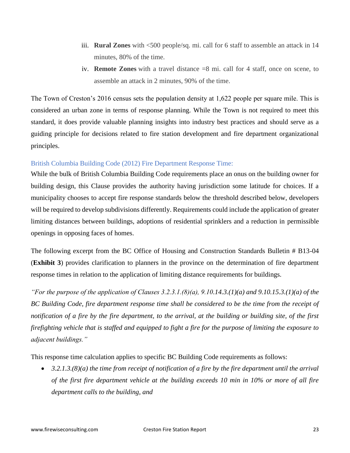- iii. **Rural Zones** with <500 people/sq. mi. call for 6 staff to assemble an attack in 14 minutes, 80% of the time.
- iv. **Remote Zones** with a travel distance =8 mi. call for 4 staff, once on scene, to assemble an attack in 2 minutes, 90% of the time.

The Town of Creston's 2016 census sets the population density at 1,622 people per square mile. This is considered an urban zone in terms of response planning. While the Town is not required to meet this standard, it does provide valuable planning insights into industry best practices and should serve as a guiding principle for decisions related to fire station development and fire department organizational principles.

## British Columbia Building Code (2012) Fire Department Response Time:

While the bulk of British Columbia Building Code requirements place an onus on the building owner for building design, this Clause provides the authority having jurisdiction some latitude for choices. If a municipality chooses to accept fire response standards below the threshold described below, developers will be required to develop subdivisions differently. Requirements could include the application of greater limiting distances between buildings, adoptions of residential sprinklers and a reduction in permissible openings in opposing faces of homes.

The following excerpt from the BC Office of Housing and Construction Standards Bulletin # B13-04 (**Exhibit 3**) provides clarification to planners in the province on the determination of fire department response times in relation to the application of limiting distance requirements for buildings.

*"For the purpose of the application of Clauses 3.2.3.1.(8)(a), 9.10.14.3.(1)(a) and 9.10.15.3.(1)(a) of the BC Building Code, fire department response time shall be considered to be the time from the receipt of notification of a fire by the fire department, to the arrival, at the building or building site, of the first firefighting vehicle that is staffed and equipped to fight a fire for the purpose of limiting the exposure to adjacent buildings."*

This response time calculation applies to specific BC Building Code requirements as follows:

• *3.2.1.3.(8)(a) the time from receipt of notification of a fire by the fire department until the arrival of the first fire department vehicle at the building exceeds 10 min in 10% or more of all fire department calls to the building, and*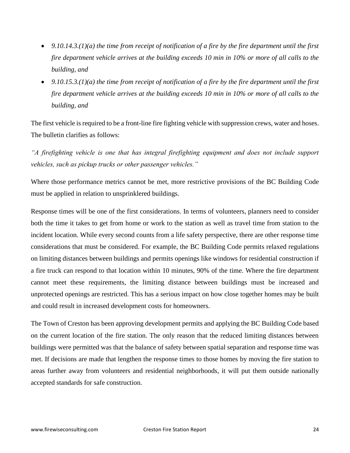- *9.10.14.3.(1)(a) the time from receipt of notification of a fire by the fire department until the first fire department vehicle arrives at the building exceeds 10 min in 10% or more of all calls to the building, and*
- *9.10.15.3.(1)(a) the time from receipt of notification of a fire by the fire department until the first fire department vehicle arrives at the building exceeds 10 min in 10% or more of all calls to the building, and*

The first vehicle is required to be a front-line fire fighting vehicle with suppression crews, water and hoses. The bulletin clarifies as follows:

*"A firefighting vehicle is one that has integral firefighting equipment and does not include support vehicles, such as pickup trucks or other passenger vehicles."*

Where those performance metrics cannot be met, more restrictive provisions of the BC Building Code must be applied in relation to unsprinklered buildings.

Response times will be one of the first considerations. In terms of volunteers, planners need to consider both the time it takes to get from home or work to the station as well as travel time from station to the incident location. While every second counts from a life safety perspective, there are other response time considerations that must be considered. For example, the BC Building Code permits relaxed regulations on limiting distances between buildings and permits openings like windows for residential construction if a fire truck can respond to that location within 10 minutes, 90% of the time. Where the fire department cannot meet these requirements, the limiting distance between buildings must be increased and unprotected openings are restricted. This has a serious impact on how close together homes may be built and could result in increased development costs for homeowners.

The Town of Creston has been approving development permits and applying the BC Building Code based on the current location of the fire station. The only reason that the reduced limiting distances between buildings were permitted was that the balance of safety between spatial separation and response time was met. If decisions are made that lengthen the response times to those homes by moving the fire station to areas further away from volunteers and residential neighborhoods, it will put them outside nationally accepted standards for safe construction.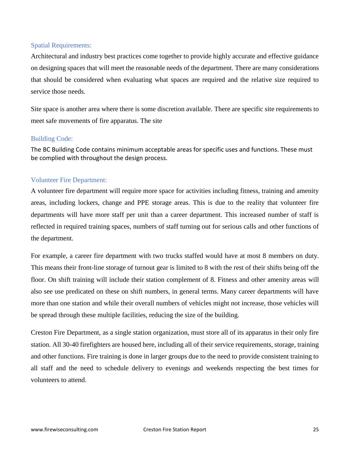## Spatial Requirements:

Architectural and industry best practices come together to provide highly accurate and effective guidance on designing spaces that will meet the reasonable needs of the department. There are many considerations that should be considered when evaluating what spaces are required and the relative size required to service those needs.

Site space is another area where there is some discretion available. There are specific site requirements to meet safe movements of fire apparatus. The site

## Building Code:

The BC Building Code contains minimum acceptable areas for specific uses and functions. These must be complied with throughout the design process.

## Volunteer Fire Department:

A volunteer fire department will require more space for activities including fitness, training and amenity areas, including lockers, change and PPE storage areas. This is due to the reality that volunteer fire departments will have more staff per unit than a career department. This increased number of staff is reflected in required training spaces, numbers of staff turning out for serious calls and other functions of the department.

For example, a career fire department with two trucks staffed would have at most 8 members on duty. This means their front-line storage of turnout gear is limited to 8 with the rest of their shifts being off the floor. On shift training will include their station complement of 8. Fitness and other amenity areas will also see use predicated on these on shift numbers, in general terms. Many career departments will have more than one station and while their overall numbers of vehicles might not increase, those vehicles will be spread through these multiple facilities, reducing the size of the building.

Creston Fire Department, as a single station organization, must store all of its apparatus in their only fire station. All 30-40 firefighters are housed here, including all of their service requirements, storage, training and other functions. Fire training is done in larger groups due to the need to provide consistent training to all staff and the need to schedule delivery to evenings and weekends respecting the best times for volunteers to attend.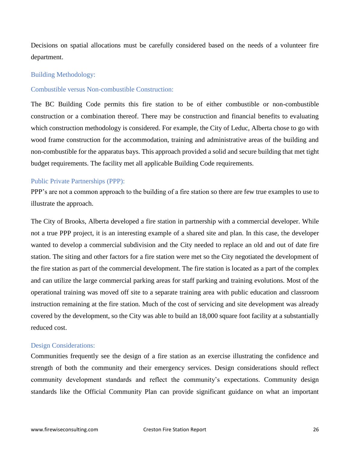Decisions on spatial allocations must be carefully considered based on the needs of a volunteer fire department.

#### Building Methodology:

### Combustible versus Non-combustible Construction:

The BC Building Code permits this fire station to be of either combustible or non-combustible construction or a combination thereof. There may be construction and financial benefits to evaluating which construction methodology is considered. For example, the City of Leduc, Alberta chose to go with wood frame construction for the accommodation, training and administrative areas of the building and non-combustible for the apparatus bays. This approach provided a solid and secure building that met tight budget requirements. The facility met all applicable Building Code requirements.

#### Public Private Partnerships (PPP):

PPP's are not a common approach to the building of a fire station so there are few true examples to use to illustrate the approach.

The City of Brooks, Alberta developed a fire station in partnership with a commercial developer. While not a true PPP project, it is an interesting example of a shared site and plan. In this case, the developer wanted to develop a commercial subdivision and the City needed to replace an old and out of date fire station. The siting and other factors for a fire station were met so the City negotiated the development of the fire station as part of the commercial development. The fire station is located as a part of the complex and can utilize the large commercial parking areas for staff parking and training evolutions. Most of the operational training was moved off site to a separate training area with public education and classroom instruction remaining at the fire station. Much of the cost of servicing and site development was already covered by the development, so the City was able to build an 18,000 square foot facility at a substantially reduced cost.

#### Design Considerations:

Communities frequently see the design of a fire station as an exercise illustrating the confidence and strength of both the community and their emergency services. Design considerations should reflect community development standards and reflect the community's expectations. Community design standards like the Official Community Plan can provide significant guidance on what an important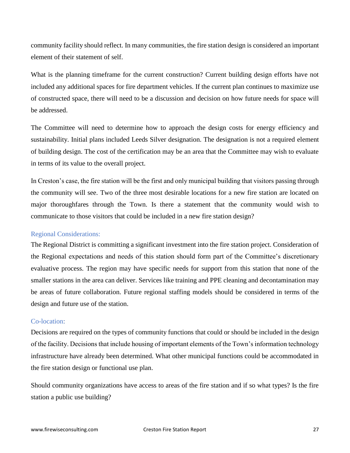community facility should reflect. In many communities, the fire station design is considered an important element of their statement of self.

What is the planning timeframe for the current construction? Current building design efforts have not included any additional spaces for fire department vehicles. If the current plan continues to maximize use of constructed space, there will need to be a discussion and decision on how future needs for space will be addressed.

The Committee will need to determine how to approach the design costs for energy efficiency and sustainability. Initial plans included Leeds Silver designation. The designation is not a required element of building design. The cost of the certification may be an area that the Committee may wish to evaluate in terms of its value to the overall project.

In Creston's case, the fire station will be the first and only municipal building that visitors passing through the community will see. Two of the three most desirable locations for a new fire station are located on major thoroughfares through the Town. Is there a statement that the community would wish to communicate to those visitors that could be included in a new fire station design?

## Regional Considerations:

The Regional District is committing a significant investment into the fire station project. Consideration of the Regional expectations and needs of this station should form part of the Committee's discretionary evaluative process. The region may have specific needs for support from this station that none of the smaller stations in the area can deliver. Services like training and PPE cleaning and decontamination may be areas of future collaboration. Future regional staffing models should be considered in terms of the design and future use of the station.

## Co-location:

Decisions are required on the types of community functions that could or should be included in the design of the facility. Decisions that include housing of important elements of the Town's information technology infrastructure have already been determined. What other municipal functions could be accommodated in the fire station design or functional use plan.

Should community organizations have access to areas of the fire station and if so what types? Is the fire station a public use building?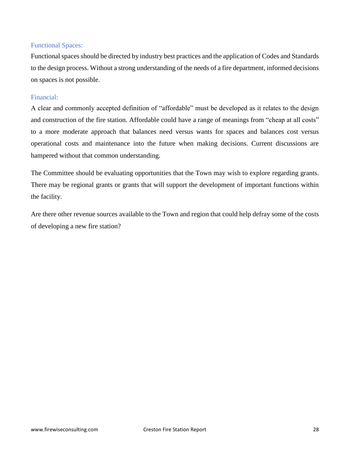## Functional Spaces:

Functional spaces should be directed by industry best practices and the application of Codes and Standards to the design process. Without a strong understanding of the needs of a fire department, informed decisions on spaces is not possible.

## Financial:

A clear and commonly accepted definition of "affordable" must be developed as it relates to the design and construction of the fire station. Affordable could have a range of meanings from "cheap at all costs" to a more moderate approach that balances need versus wants for spaces and balances cost versus operational costs and maintenance into the future when making decisions. Current discussions are hampered without that common understanding.

The Committee should be evaluating opportunities that the Town may wish to explore regarding grants. There may be regional grants or grants that will support the development of important functions within the facility.

Are there other revenue sources available to the Town and region that could help defray some of the costs of developing a new fire station?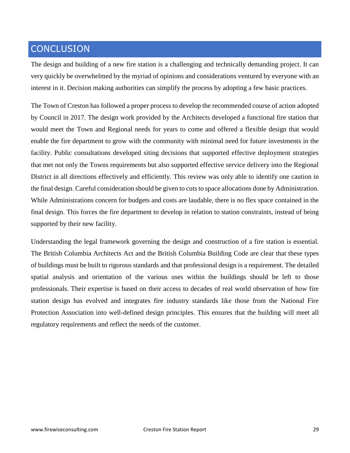# **CONCLUSION**

The design and building of a new fire station is a challenging and technically demanding project. It can very quickly be overwhelmed by the myriad of opinions and considerations ventured by everyone with an interest in it. Decision making authorities can simplify the process by adopting a few basic practices.

The Town of Creston has followed a proper process to develop the recommended course of action adopted by Council in 2017. The design work provided by the Architects developed a functional fire station that would meet the Town and Regional needs for years to come and offered a flexible design that would enable the fire department to grow with the community with minimal need for future investments in the facility. Public consultations developed siting decisions that supported effective deployment strategies that met not only the Towns requirements but also supported effective service delivery into the Regional District in all directions effectively and efficiently. This review was only able to identify one caution in the final design. Careful consideration should be given to cuts to space allocations done by Administration. While Administrations concern for budgets and costs are laudable, there is no flex space contained in the final design. This forces the fire department to develop in relation to station constraints, instead of being supported by their new facility.

Understanding the legal framework governing the design and construction of a fire station is essential. The British Columbia Architects Act and the British Columbia Building Code are clear that these types of buildings must be built to rigorous standards and that professional design is a requirement. The detailed spatial analysis and orientation of the various uses within the buildings should be left to those professionals. Their expertise is based on their access to decades of real world observation of how fire station design has evolved and integrates fire industry standards like those from the National Fire Protection Association into well-defined design principles. This ensures that the building will meet all regulatory requirements and reflect the needs of the customer.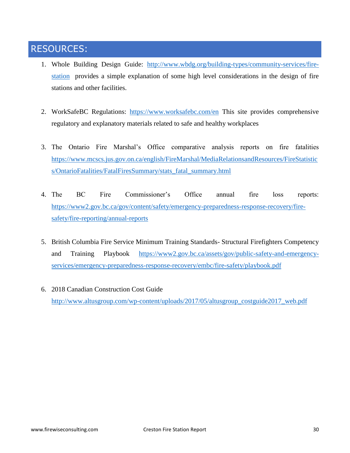# RESOURCES:

- 1. Whole Building Design Guide: [http://www.wbdg.org/building-types/community-services/fire](http://www.wbdg.org/building-types/community-services/fire-station)[station](http://www.wbdg.org/building-types/community-services/fire-station) provides a simple explanation of some high level considerations in the design of fire stations and other facilities.
- 2. WorkSafeBC Regulations: <https://www.worksafebc.com/en> This site provides comprehensive regulatory and explanatory materials related to safe and healthy workplaces
- 3. The Ontario Fire Marshal's Office comparative analysis reports on fire fatalities [https://www.mcscs.jus.gov.on.ca/english/FireMarshal/MediaRelationsandResources/FireStatistic](https://www.mcscs.jus.gov.on.ca/english/FireMarshal/MediaRelationsandResources/FireStatistics/OntarioFatalities/FatalFiresSummary/stats_fatal_summary.html) [s/OntarioFatalities/FatalFiresSummary/stats\\_fatal\\_summary.html](https://www.mcscs.jus.gov.on.ca/english/FireMarshal/MediaRelationsandResources/FireStatistics/OntarioFatalities/FatalFiresSummary/stats_fatal_summary.html)
- 4. The BC Fire Commissioner's Office annual fire loss reports: [https://www2.gov.bc.ca/gov/content/safety/emergency-preparedness-response-recovery/fire](https://www2.gov.bc.ca/gov/content/safety/emergency-preparedness-response-recovery/fire-safety/fire-reporting/annual-reports)[safety/fire-reporting/annual-reports](https://www2.gov.bc.ca/gov/content/safety/emergency-preparedness-response-recovery/fire-safety/fire-reporting/annual-reports)
- 5. British Columbia Fire Service Minimum Training Standards- Structural Firefighters Competency and Training Playbook [https://www2.gov.bc.ca/assets/gov/public-safety-and-emergency](https://www2.gov.bc.ca/assets/gov/public-safety-and-emergency-services/emergency-preparedness-response-recovery/embc/fire-safety/playbook.pdf)[services/emergency-preparedness-response-recovery/embc/fire-safety/playbook.pdf](https://www2.gov.bc.ca/assets/gov/public-safety-and-emergency-services/emergency-preparedness-response-recovery/embc/fire-safety/playbook.pdf)
- 6. 2018 Canadian Construction Cost Guide [http://www.altusgroup.com/wp-content/uploads/2017/05/altusgroup\\_costguide2017\\_web.pdf](http://www.altusgroup.com/wp-content/uploads/2017/05/altusgroup_costguide2017_web.pdf)